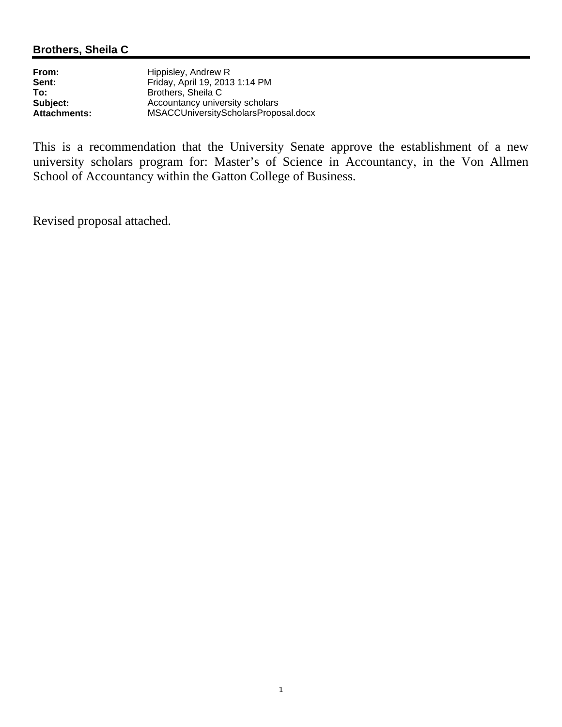## **Brothers, Sheila C**

| From:               | Hippisley, Andrew R                  |
|---------------------|--------------------------------------|
| Sent:               | Friday, April 19, 2013 1:14 PM       |
| To:                 | Brothers, Sheila C                   |
| Subject:            | Accountancy university scholars      |
| <b>Attachments:</b> | MSACCUniversityScholarsProposal.docx |

This is a recommendation that the University Senate approve the establishment of a new university scholars program for: Master's of Science in Accountancy, in the Von Allmen School of Accountancy within the Gatton College of Business.

Revised proposal attached.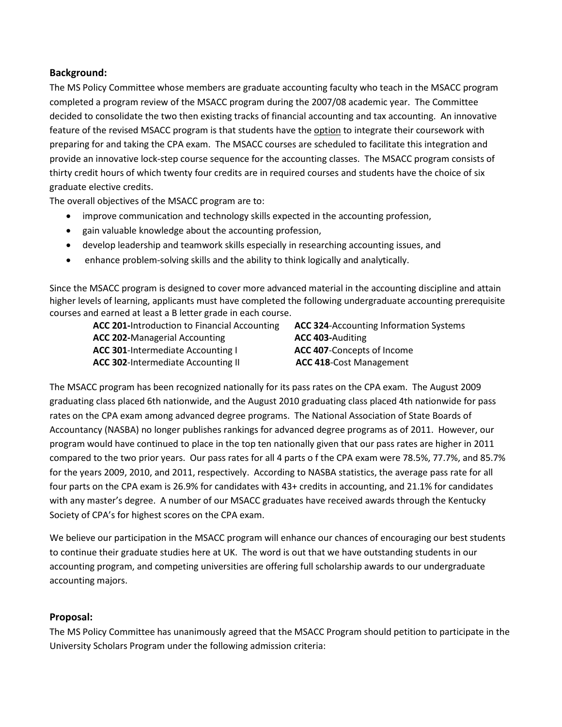## **Background:**

The MS Policy Committee whose members are graduate accounting faculty who teach in the MSACC program completed a program review of the MSACC program during the 2007/08 academic year. The Committee decided to consolidate the two then existing tracks of financial accounting and tax accounting. An innovative feature of the revised MSACC program is that students have the option to integrate their coursework with preparing for and taking the CPA exam. The MSACC courses are scheduled to facilitate this integration and provide an innovative lock-step course sequence for the accounting classes. The MSACC program consists of thirty credit hours of which twenty four credits are in required courses and students have the choice of six graduate elective credits.

The overall objectives of the MSACC program are to:

- improve communication and technology skills expected in the accounting profession,
- gain valuable knowledge about the accounting profession,
- develop leadership and teamwork skills especially in researching accounting issues, and
- enhance problem-solving skills and the ability to think logically and analytically.

Since the MSACC program is designed to cover more advanced material in the accounting discipline and attain higher levels of learning, applicants must have completed the following undergraduate accounting prerequisite courses and earned at least a B letter grade in each course.

 **ACC 202-**Managerial Accounting **ACC 403-**Auditing  **ACC 301**-Intermediate Accounting I **ACC 407**-Concepts of Income  **ACC 302**-Intermediate Accounting II **ACC 418**-Cost Management

**ACC 201-**Introduction to Financial Accounting **ACC 324**-Accounting Information Systems

The MSACC program has been recognized nationally for its pass rates on the CPA exam. The August 2009 graduating class placed 6th nationwide, and the August 2010 graduating class placed 4th nationwide for pass rates on the CPA exam among advanced degree programs. The National Association of State Boards of Accountancy (NASBA) no longer publishes rankings for advanced degree programs as of 2011. However, our program would have continued to place in the top ten nationally given that our pass rates are higher in 2011 compared to the two prior years. Our pass rates for all 4 parts o f the CPA exam were 78.5%, 77.7%, and 85.7% for the years 2009, 2010, and 2011, respectively. According to NASBA statistics, the average pass rate for all four parts on the CPA exam is 26.9% for candidates with 43+ credits in accounting, and 21.1% for candidates with any master's degree. A number of our MSACC graduates have received awards through the Kentucky Society of CPA's for highest scores on the CPA exam.

We believe our participation in the MSACC program will enhance our chances of encouraging our best students to continue their graduate studies here at UK. The word is out that we have outstanding students in our accounting program, and competing universities are offering full scholarship awards to our undergraduate accounting majors.

## **Proposal:**

The MS Policy Committee has unanimously agreed that the MSACC Program should petition to participate in the University Scholars Program under the following admission criteria: